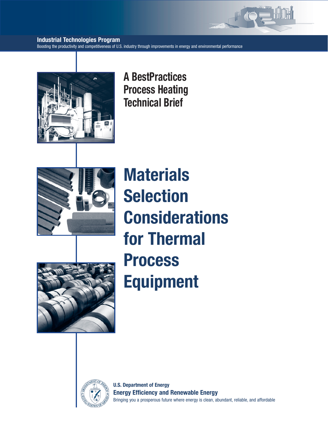

# **Industrial Technologies Program**

Boosting the productivity and competitiveness of U.S. industry through improvements in energy and environmental performance



**A BestPractices Process Heating Technical Brief**



**Materials Selection Considerations for Thermal Process Equipment** 





**U.S. Department of Energy Energy Efficiency and Renewable Energy** Bringing you a prosperous future where energy is clean, abundant, reliable, and affordable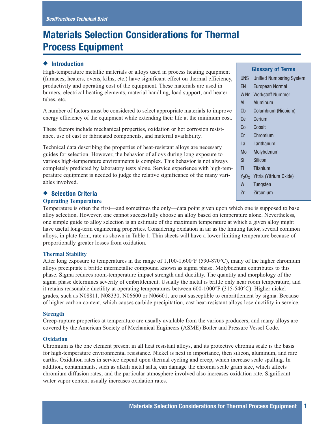# **Materials Selection Considerations for Thermal Process Equipment**

# ◆ **Introduction**

High-temperature metallic materials or alloys used in process heating equipment (furnaces, heaters, ovens, kilns, etc.) have significant effect on thermal efficiency, productivity and operating cost of the equipment. These materials are used in burners, electrical heating elements, material handling, load support, and heater tubes, etc.

A number of factors must be considered to select appropriate materials to improve energy efficiency of the equipment while extending their life at the minimum cost.

These factors include mechanical properties, oxidation or hot corrosion resistance, use of cast or fabricated components, and material availability.

Technical data describing the properties of heat-resistant alloys are necessary guides for selection. However, the behavior of alloys during long exposure to various high-temperature environments is complex. This behavior is not always completely predicted by laboratory tests alone. Service experience with high-temperature equipment is needed to judge the relative significance of the many variables involved.

# ◆ **Selection Criteria**

## **Operating Temperature**

Temperature is often the first—and sometimes the only—data point given upon which one is supposed to base alloy selection. However, one cannot successfully choose an alloy based on temperature alone. Nevertheless, one simple guide to alloy selection is an estimate of the maximum temperature at which a given alloy might have useful long-term engineering properties. Considering oxidation in air as the limiting factor, several common alloys, in plate form, rate as shown in Table 1. Thin sheets will have a lower limiting temperature because of proportionally greater losses from oxidation.

# **Thermal Stability**

After long exposure to temperatures in the range of 1,100-1,600°F (590-870°C), many of the higher chromium alloys precipitate a brittle intermetallic compound known as sigma phase. Molybdenum contributes to this phase. Sigma reduces room-temperature impact strength and ductility. The quantity and morphology of the sigma phase determines severity of embrittlement. Usually the metal is brittle only near room temperature, and it retains reasonable ductility at operating temperatures between 600-1000°F (315-540°C). Higher nickel grades, such as N08811, N08330, N06600 or N06601, are not susceptible to embrittlement by sigma. Because of higher carbon content, which causes carbide precipitation, cast heat-resistant alloys lose ductility in service.

# **Strength**

Creep-rupture properties at temperature are usually available from the various producers, and many alloys are covered by the American Society of Mechanical Engineers (ASME) Boiler and Pressure Vessel Code.

# **Oxidation**

Chromium is the one element present in all heat resistant alloys, and its protective chromia scale is the basis for high-temperature environmental resistance. Nickel is next in importance, then silicon, aluminum, and rare earths. Oxidation rates in service depend upon thermal cycling and creep, which increase scale spalling. In addition, contaminants, such as alkali metal salts, can damage the chromia scale grain size, which affects chromium diffusion rates, and the particular atmosphere involved also increases oxidation rate. Significant water vapor content usually increases oxidation rates.

# **Glossary of Terms**

|        | <b>UNS</b> Unified Numbering System |
|--------|-------------------------------------|
| en l   | <b>European Normal</b>              |
|        | W.Nr. Werkstoff Nummer              |
| AL     | Aluminum                            |
| Cb     | Columbium (Niobium)                 |
| Ce     | Cerium                              |
|        | Co Cobalt                           |
| $Cr$ – | Chromium                            |
| La l   | Lanthanum                           |
| Mo l   | Molybdenum                          |
| Si     | Silicon                             |
| Ti i   | Titanium                            |
|        | $Y_2O_3$ Yttria (Yttrium Oxide)     |
| W ·    | Tungsten                            |
| 7r     | Zirconium                           |
|        |                                     |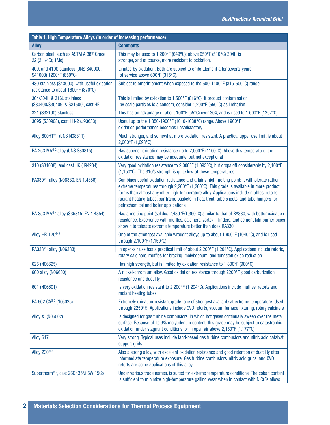| Table 1. High Temperature Alloys (in order of increasing performance)               |                                                                                                                                                                                                                                                                                                                                                                                                                               |  |  |  |  |  |  |  |
|-------------------------------------------------------------------------------------|-------------------------------------------------------------------------------------------------------------------------------------------------------------------------------------------------------------------------------------------------------------------------------------------------------------------------------------------------------------------------------------------------------------------------------|--|--|--|--|--|--|--|
| <b>Alloy</b>                                                                        | <b>Comments</b>                                                                                                                                                                                                                                                                                                                                                                                                               |  |  |  |  |  |  |  |
| Carbon steel, such as ASTM A 387 Grade<br>22 (2 1/4Cr, 1Mo)                         | This may be used to 1,200°F (649°C); above 950°F (510°C) 304H is<br>stronger, and of course, more resistant to oxidation.                                                                                                                                                                                                                                                                                                     |  |  |  |  |  |  |  |
| 409, and 410S stainless (UNS S40900,<br>S41008) 1200°F (650°C)                      | Limited by oxidation. Both are subject to embrittlement after several years<br>of service above 600°F (315°C).                                                                                                                                                                                                                                                                                                                |  |  |  |  |  |  |  |
| 430 stainless (S43000), with useful oxidation<br>resistance to about 1600°F (870°C) | Subject to embrittlement when exposed to the 600-1100°F (315-600°C) range.                                                                                                                                                                                                                                                                                                                                                    |  |  |  |  |  |  |  |
| 304/304H & 316L stainless<br>(S30400/S30409, & S31600), cast HF                     | This is limited by oxidation to 1,500°F (816°C). If product contamination<br>by scale particles is a concern, consider 1,200°F (650°C) as limitation.                                                                                                                                                                                                                                                                         |  |  |  |  |  |  |  |
| 321 (S32100) stainless                                                              | This has an advantage of about 100°F (55°C) over 304, and is used to 1,600°F (1202°C).                                                                                                                                                                                                                                                                                                                                        |  |  |  |  |  |  |  |
| 309S (S30908), cast HH-2 (J93633)                                                   | Useful up to the 1,850-1900°F (1010-1038°C) range. Above 1900°F,<br>oxidation performance becomes unsatisfactory.                                                                                                                                                                                                                                                                                                             |  |  |  |  |  |  |  |
| Alloy 800HT <sup>®1</sup> (UNS N08811)                                              | Much stronger, and somewhat more oxidation resistant. A practical upper use limit is about<br>2,000°F (1,093°C).                                                                                                                                                                                                                                                                                                              |  |  |  |  |  |  |  |
| RA 253 MA® 2 alloy (UNS S30815)                                                     | Has superior oxidation resistance up to 2,000°F (1100°C). Above this temperature, the<br>oxidation resistance may be adequate, but not exceptional                                                                                                                                                                                                                                                                            |  |  |  |  |  |  |  |
| 310 (S31008), and cast HK (J94204)                                                  | Very good oxidation resistance to 2,000°F (1,093°C), but drops off considerably by 2,100°F<br>(1,150°C). The 310's strength is quite low at these temperatures.                                                                                                                                                                                                                                                               |  |  |  |  |  |  |  |
| RA330 <sup>® 3</sup> alloy (N08330, EN 1.4886)                                      | Combines useful oxidation resistance and a fairly high melting point; it will tolerate rather<br>extreme temperatures through 2,200°F (1,200°C). This grade is available in more product<br>forms than almost any other high-temperature alloy. Applications include muffles, retorts,<br>radiant heating tubes, bar frame baskets in heat treat, tube sheets, and tube hangers for<br>petrochemical and boiler applications. |  |  |  |  |  |  |  |
| RA 353 MA® 4 alloy (S35315, EN 1.4854)                                              | Has a melting point (solidus 2,480°F/1,360°C) similar to that of RA330, with better oxidation<br>resistance. Experience with muffles, calciners, vortex finders, and cement kiln burner pipes<br>show it to tolerate extreme temperature better than does RA330.                                                                                                                                                              |  |  |  |  |  |  |  |
| Alloy HR-120 <sup>® 5</sup>                                                         | One of the strongest available wrought alloys up to about 1,900°F (1040°C), and is used<br>through 2,100°F (1,150°C).                                                                                                                                                                                                                                                                                                         |  |  |  |  |  |  |  |
| RA333 <sup>® 6</sup> alloy (N06333)                                                 | In open-air use has a practical limit of about 2,200°F (1,204°C). Applications include retorts,<br>rotary calciners, muffles for brazing, molybdenum, and tungsten oxide reduction.                                                                                                                                                                                                                                           |  |  |  |  |  |  |  |
| 625 (N06625)                                                                        | Has high strength, but is limited by oxidation resistance to 1,800°F (980°C).                                                                                                                                                                                                                                                                                                                                                 |  |  |  |  |  |  |  |
| 600 alloy (N06600)                                                                  | A nickel-chromium alloy. Good oxidation resistance through 2200°F, good carburization<br>resistance and ductility.                                                                                                                                                                                                                                                                                                            |  |  |  |  |  |  |  |
| 601 (N06601)                                                                        | Is very oxidation resistant to 2,200°F (1,204°C). Applications include muffles, retorts and<br>radiant heating tubes                                                                                                                                                                                                                                                                                                          |  |  |  |  |  |  |  |
| RA 602 CA®7 (N06025)                                                                | Extremely oxidation-resistant grade; one of strongest available at extreme temperature. Used<br>through 2250°F. Applications include CVD retorts, vacuum furnace fixturing, rotary calciners                                                                                                                                                                                                                                  |  |  |  |  |  |  |  |
| Alloy X (N06002)                                                                    | Is designed for gas turbine combustors, in which hot gases continually sweep over the metal<br>surface. Because of its 9% molybdenum content, this grade may be subject to catastrophic<br>oxidation under stagnant conditions, or in open air above 2,150°F (1,177°C).                                                                                                                                                       |  |  |  |  |  |  |  |
| Alloy 617                                                                           | Very strong. Typical uses include land-based gas turbine combustors and nitric acid catalyst<br>support grids.                                                                                                                                                                                                                                                                                                                |  |  |  |  |  |  |  |
| Alloy 230 <sup>® 8</sup>                                                            | Also a strong alloy, with excellent oxidation resistance and good retention of ductility after<br>intermediate temperature exposure. Gas turbine combustors, nitric acid grids, and CVD<br>retorts are some applications of this alloy.                                                                                                                                                                                       |  |  |  |  |  |  |  |
| Supertherm® <sup>9</sup> , cast 26Cr 35Ni 5W 15Co                                   | Under various trade names, is suited for extreme temperature conditions. The cobalt content<br>is sufficient to minimize high-temperature galling wear when in contact with NiCrFe alloys.                                                                                                                                                                                                                                    |  |  |  |  |  |  |  |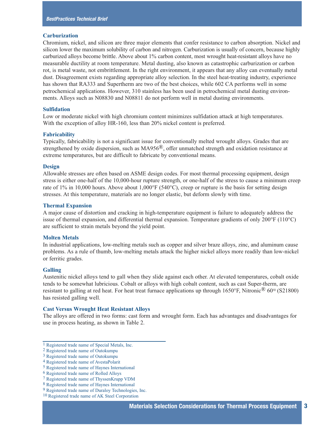#### **Carburization**

Chromium, nickel, and silicon are three major elements that confer resistance to carbon absorption. Nickel and silicon lower the maximum solubility of carbon and nitrogen. Carburization is usually of concern, because highly carburized alloys become brittle. Above about 1% carbon content, most wrought heat-resistant alloys have no measurable ductility at room temperature. Metal dusting, also known as catastrophic carburization or carbon rot, is metal waste, not embrittlement. In the right environment, it appears that any alloy can eventually metal dust. Disagreement exists regarding appropriate alloy selection. In the steel heat-treating industry, experience has shown that RA333 and Supertherm are two of the best choices, while 602 CA performs well in some petrochemical applications. However, 310 stainless has been used in petrochemical metal dusting environments. Alloys such as N08830 and N08811 do not perform well in metal dusting environments.

#### **Sulfidation**

Low or moderate nickel with high chromium content minimizes sulfidation attack at high temperatures. With the exception of alloy HR-160, less than 20% nickel content is preferred.

#### **Fabricability**

Typically, fabricability is not a significant issue for conventionally melted wrought alloys. Grades that are strengthened by oxide dispersion, such as  $MA956^{\circledR}$ , offer unmatched strength and oxidation resistance at extreme temperatures, but are difficult to fabricate by conventional means.

#### **Design**

Allowable stresses are often based on ASME design codes. For most thermal processing equipment, design stress is either one-half of the 10,000-hour rupture strength, or one-half of the stress to cause a minimum creep rate of 1% in 10,000 hours. Above about 1,000°F (540°C), creep or rupture is the basis for setting design stresses. At this temperature, materials are no longer elastic, but deform slowly with time.

#### **Thermal Expansion**

A major cause of distortion and cracking in high-temperature equipment is failure to adequately address the issue of thermal expansion, and differential thermal expansion. Temperature gradients of only 200°F (110°C) are sufficient to strain metals beyond the yield point.

#### **Molten Metals**

In industrial applications, low-melting metals such as copper and silver braze alloys, zinc, and aluminum cause problems. As a rule of thumb, low-melting metals attack the higher nickel alloys more readily than low-nickel or ferritic grades.

#### **Galling**

Austenitic nickel alloys tend to gall when they slide against each other. At elevated temperatures, cobalt oxide tends to be somewhat lubricious. Cobalt or alloys with high cobalt content, such as cast Super-therm, are resistant to galling at red heat. For heat treat furnace applications up through  $1650^{\circ}$ F, Nitronic<sup>®</sup> 60<sup>10</sup> (S21800) has resisted galling well.

#### **Cast Versus Wrought Heat Resistant Alloys**

The alloys are offered in two forms: cast form and wrought form. Each has advantages and disadvantages for use in process heating, as shown in Table 2.

<sup>1</sup> Registered trade name of Special Metals, Inc.

<sup>2</sup> Registered trade name of Outokumpu

<sup>3</sup> Registered trade name of Outokumpu

<sup>4</sup> Registered trade name of AvestaPolarit

<sup>5</sup> Registered trade name of Haynes International

<sup>6</sup> Registered trade name of Rolled Alloys

<sup>7</sup> Registered trade name of ThyssenKrupp VDM

<sup>8</sup> Registered trade name of Haynes International

<sup>9</sup> Registered trade name of Duraloy Technologies, Inc.

<sup>10</sup> Registered trade name of AK Steel Corporation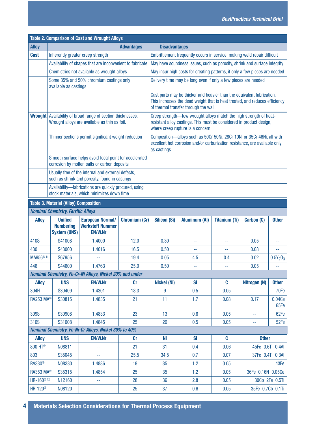| <b>Table 2. Comparison of Cast and Wrought Alloys</b>                                                               |                                                           |                                                                                                        |                      |                                                                                                                                                                                                |                                                                                                                                                                                 |                      |                        |                                    |  |  |
|---------------------------------------------------------------------------------------------------------------------|-----------------------------------------------------------|--------------------------------------------------------------------------------------------------------|----------------------|------------------------------------------------------------------------------------------------------------------------------------------------------------------------------------------------|---------------------------------------------------------------------------------------------------------------------------------------------------------------------------------|----------------------|------------------------|------------------------------------|--|--|
| <b>Alloy</b>                                                                                                        |                                                           |                                                                                                        | <b>Advantages</b>    | <b>Disadvantages</b>                                                                                                                                                                           |                                                                                                                                                                                 |                      |                        |                                    |  |  |
| <b>Cast</b>                                                                                                         | Inherently greater creep strength                         |                                                                                                        |                      | Embrittlement frequently occurs in service, making weld repair difficult                                                                                                                       |                                                                                                                                                                                 |                      |                        |                                    |  |  |
|                                                                                                                     |                                                           | Availability of shapes that are inconvenient to fabricate                                              |                      | May have soundness issues, such as porosity, shrink and surface integrity                                                                                                                      |                                                                                                                                                                                 |                      |                        |                                    |  |  |
|                                                                                                                     |                                                           | Chemistries not available as wrought alloys                                                            |                      | May incur high costs for creating patterns, if only a few pieces are needed                                                                                                                    |                                                                                                                                                                                 |                      |                        |                                    |  |  |
|                                                                                                                     | available as castings                                     | Some 35% and 50% chromium castings only                                                                |                      |                                                                                                                                                                                                | Delivery time may be long even if only a few pieces are needed                                                                                                                  |                      |                        |                                    |  |  |
|                                                                                                                     |                                                           |                                                                                                        |                      | Cast parts may be thicker and heavier than the equivalent fabrication.<br>This increases the dead weight that is heat treated, and reduces efficiency<br>of thermal transfer through the wall. |                                                                                                                                                                                 |                      |                        |                                    |  |  |
| <b>Wrought</b> Availability of broad range of section thicknesses.<br>Wrought alloys are available as thin as foil. |                                                           |                                                                                                        |                      |                                                                                                                                                                                                | Creep strength-few wrought alloys match the high strength of heat-<br>resistant alloy castings. This must be considered in product design,<br>where creep rupture is a concern. |                      |                        |                                    |  |  |
|                                                                                                                     |                                                           | Thinner sections permit significant weight reduction                                                   |                      | Composition-alloys such as 50Cr 50Ni, 28Cr 10Ni or 35Cr 46Ni, all with<br>excellent hot corrosion and/or carburization resistance, are available only<br>as castings.                          |                                                                                                                                                                                 |                      |                        |                                    |  |  |
|                                                                                                                     |                                                           | Smooth surface helps avoid focal point for accelerated<br>corrosion by molten salts or carbon deposits |                      |                                                                                                                                                                                                |                                                                                                                                                                                 |                      |                        |                                    |  |  |
|                                                                                                                     |                                                           | Usually free of the internal and external defects,<br>such as shrink and porosity, found in castings   |                      |                                                                                                                                                                                                |                                                                                                                                                                                 |                      |                        |                                    |  |  |
|                                                                                                                     |                                                           | Availability-fabrications are quickly procured, using<br>stock materials, which minimizes down time.   |                      |                                                                                                                                                                                                |                                                                                                                                                                                 |                      |                        |                                    |  |  |
|                                                                                                                     | <b>Table 3. Material (Alloy) Composition</b>              |                                                                                                        |                      |                                                                                                                                                                                                |                                                                                                                                                                                 |                      |                        |                                    |  |  |
|                                                                                                                     | <b>Nominal Chemistry, Ferritic Alloys</b>                 |                                                                                                        |                      |                                                                                                                                                                                                |                                                                                                                                                                                 |                      |                        |                                    |  |  |
| <b>Alloy</b>                                                                                                        | <b>Unified</b><br><b>Numbering</b><br><b>System (UNS)</b> | <b>European Normal/</b><br><b>Werkstoff Nummer</b><br><b>EN/W.Nr</b>                                   | <b>Chromium (Cr)</b> | <b>Silicon (Si)</b>                                                                                                                                                                            | <b>Aluminum (AI)</b>                                                                                                                                                            | <b>Titanium (Ti)</b> | Carbon (C)             | <b>Other</b>                       |  |  |
| 410S                                                                                                                | S41008                                                    | 1.4000                                                                                                 | 12.0                 | 0.30                                                                                                                                                                                           | --                                                                                                                                                                              | 44                   | 0.05                   | 44                                 |  |  |
| 430                                                                                                                 | S43000                                                    | 1.4016                                                                                                 | 16.5                 | 0.50                                                                                                                                                                                           | --                                                                                                                                                                              | --                   | 0.08                   | 44                                 |  |  |
| MA956 <sup>® 11</sup>                                                                                               | S67956                                                    | ۰.                                                                                                     | 19.4                 | 0.05                                                                                                                                                                                           | 4.5                                                                                                                                                                             | 0.4                  | 0.02                   | $0.5Y_2O_3$                        |  |  |
| 446                                                                                                                 | S44600                                                    | 1.4763                                                                                                 | 25.0                 | 0.50                                                                                                                                                                                           | --                                                                                                                                                                              | 44                   | 0.05                   |                                    |  |  |
|                                                                                                                     |                                                           | Nominal Chemistry, Fe-Cr-Ni Alloys, Nickel 20% and under                                               |                      |                                                                                                                                                                                                |                                                                                                                                                                                 |                      |                        |                                    |  |  |
| <b>Alloy</b>                                                                                                        | <b>UNS</b>                                                | <b>EN/W.Nr</b>                                                                                         | <b>Cr</b>            | <b>Nickel (Ni)</b>                                                                                                                                                                             | Si                                                                                                                                                                              | C                    | Nitrogen (N)           | <b>Other</b>                       |  |  |
| 304H                                                                                                                | S30409                                                    | 1.4301                                                                                                 | 18.3                 | 9                                                                                                                                                                                              | 0.5                                                                                                                                                                             | 0.05                 | ÷,                     | 70Fe                               |  |  |
| <b>RA253 MA®</b>                                                                                                    | S30815                                                    | 1.4835                                                                                                 | 21                   | 11                                                                                                                                                                                             | 1.7                                                                                                                                                                             | 0.08                 | 0.04Ce<br>0.17<br>65Fe |                                    |  |  |
| 309S                                                                                                                | S30908                                                    | 1.4833                                                                                                 | 23                   | 13                                                                                                                                                                                             | 0.8                                                                                                                                                                             | 0.05                 | 44                     | 62Fe                               |  |  |
| 310S                                                                                                                | S31008                                                    | 1.4845                                                                                                 | 25                   | 20                                                                                                                                                                                             | 0.5                                                                                                                                                                             | 0.05                 | 44                     | 52Fe                               |  |  |
| <b>Nominal Chemistry, Fe-Ni-Cr Alloys, Nickel 30% to 40%</b>                                                        |                                                           |                                                                                                        |                      |                                                                                                                                                                                                |                                                                                                                                                                                 |                      |                        |                                    |  |  |
| <b>Alloy</b>                                                                                                        | <b>UNS</b>                                                | <b>EN/W.Nr</b>                                                                                         | <b>Cr</b>            | Ni                                                                                                                                                                                             | Si                                                                                                                                                                              | C                    | <b>Other</b>           |                                    |  |  |
| 800 HT®                                                                                                             | N08811                                                    | ц.                                                                                                     | 21                   | 31                                                                                                                                                                                             | 0.4                                                                                                                                                                             | 0.06                 | 45Fe 0.6Ti 0.4Al       |                                    |  |  |
| 803                                                                                                                 | S35045                                                    | 44                                                                                                     | 25.5                 | 34.5                                                                                                                                                                                           | 0.7                                                                                                                                                                             | 0.07                 | 37Fe 0.4Ti 0.3Al       |                                    |  |  |
| <b>RA330®</b>                                                                                                       | N08330                                                    |                                                                                                        | 19                   | 35                                                                                                                                                                                             | 1.2                                                                                                                                                                             | 0.05                 | 43Fe                   |                                    |  |  |
|                                                                                                                     |                                                           | 1.4886                                                                                                 |                      |                                                                                                                                                                                                |                                                                                                                                                                                 |                      |                        |                                    |  |  |
| <b>RA353 MA®</b>                                                                                                    | S35315                                                    | 1.4854                                                                                                 | 25                   | 35                                                                                                                                                                                             | 1.2                                                                                                                                                                             | 0.05                 | 36Fe 0.16N 0.05Ce      |                                    |  |  |
| HR-160 <sup>® 12</sup><br>HR-120 <sup>®</sup>                                                                       | N12160<br>N08120                                          | ÷,                                                                                                     | 28<br>25             | 36<br>37                                                                                                                                                                                       | 2.8<br>0.6                                                                                                                                                                      | 0.05<br>0.05         |                        | 30Co 2Fe 0.5Ti<br>35Fe 0.7Cb 0.1Ti |  |  |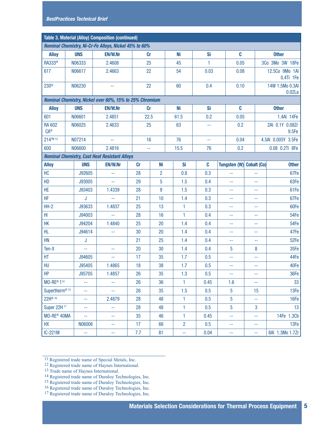| <b>Table 3. Material (Alloy) Composition (continued)</b>     |                                                         |                |                                                      |           |                |  |                |        |                |                          |                              |  |
|--------------------------------------------------------------|---------------------------------------------------------|----------------|------------------------------------------------------|-----------|----------------|--|----------------|--------|----------------|--------------------------|------------------------------|--|
| <b>Nominal Chemistry, Ni-Cr-Fe Alloys, Nickel 45% to 60%</b> |                                                         |                |                                                      |           |                |  |                |        |                |                          |                              |  |
| <b>Alloy</b>                                                 | <b>UNS</b>                                              |                | <b>EN/W.Nr</b>                                       |           | cr             |  | Ni             | Si     | C              |                          | <b>Other</b>                 |  |
| RA333 <sup>®</sup>                                           | N06333                                                  |                | 2.4608                                               |           | 25             |  | 45             | 1.     | 0.05           |                          | 3Co 3Mo 3W 18Fe              |  |
| 617                                                          | N06617                                                  |                | 2.4663                                               |           | 22             |  | 54             | 0.03   | 0.08           |                          | 12.5Co 9Mo 1AI<br>0.4Ti 1Fe  |  |
| 230 <sup>®</sup>                                             | N06230                                                  |                | 44                                                   | 22        |                |  | 60             | 0.4    |                | 0.10                     | 14W 1.5Mo 0.3AI<br>$0.02$ La |  |
|                                                              | Nominal Chemistry, Nickel over 60%, 15% to 25% Chromium |                |                                                      |           |                |  |                |        |                |                          |                              |  |
| <b>Alloy</b>                                                 | <b>UNS</b>                                              | <b>EN/W.Nr</b> |                                                      |           | <b>Cr</b>      |  | Ni<br>Si       |        | C              |                          | <b>Other</b>                 |  |
| 601                                                          | N06601                                                  |                | 2.4851                                               |           | 22.5           |  | 61.5           | 0.2    | 0.05           |                          | 1.4AI 14Fe                   |  |
| <b>RA 602</b><br><b>CA®</b>                                  | N06025                                                  |                | 2.4633                                               |           | 25             |  | 63             | 44     | 0.2            | 2AI 0.1Y 0.08Zr<br>9.5Fe |                              |  |
| 214™13                                                       | N07214                                                  |                | ÷.                                                   |           | 16             |  | 76             | $\sim$ | 0.04           |                          | 4.5AI 0.005Y 3.5Fe           |  |
| 600                                                          | N06600                                                  |                | 2.4816                                               |           | 44             |  | 15.5           | 76     | 0.2            |                          | 0.08 0.2Ti 8Fe               |  |
|                                                              |                                                         |                | <b>Nominal Chemistry, Cast Heat Resistant Alloys</b> |           |                |  |                |        |                |                          |                              |  |
| <b>Alloy</b>                                                 | <b>UNS</b>                                              |                | <b>EN/W.Nr</b>                                       | <b>Cr</b> | Ni             |  | Si             | C      | Tungsten (W)   | <b>Cobalt (Co)</b>       | <b>Other</b>                 |  |
| HC                                                           | J92605                                                  |                | 44                                                   | 28        | $\overline{2}$ |  | 0.8            | 0.3    | 44             | 44                       | 67Fe                         |  |
| HD                                                           | J93005                                                  |                | 44                                                   | 29        | $\overline{5}$ |  | 1.5            | 0.4    | 44             | --                       | 63Fe                         |  |
| HE                                                           | J93403                                                  |                | 1.4339                                               | 28        | 9              |  | 1.5            | 0.3    | 44             | 44                       | 61Fe                         |  |
| <b>HF</b>                                                    | J                                                       |                | 44                                                   | 21        | 10             |  | 1.4            | 0.3    | 44             | $\sim$ $\sim$            | 67Fe                         |  |
| $HH-2$                                                       | J93633                                                  |                | 1.4837                                               | 25        | 13             |  | 1              | 0.3    | 44             | $\sim$                   | 60Fe                         |  |
| HI                                                           | J94003                                                  |                | Ξü                                                   | 28        | 16             |  | $\mathbf{1}$   | 0.4    | 44             | $\sim$ $\sim$            | 54Fe                         |  |
| НK                                                           | J94204                                                  |                | 1.4840                                               | 25        | 20             |  | 1.4            | 0.4    | 44             | $\sim$ $\sim$            | 54Fe                         |  |
| HL.                                                          | J94614                                                  |                | 44                                                   | 30        | 20             |  | 1.4            | 0.4    | 44             | $\sim$                   | 47Fe                         |  |
| HN                                                           | J                                                       |                |                                                      | 21        | 25             |  | 1.4            | 0.4    | 44             | $\sim$ $\sim$            | 52Fe                         |  |
| Ten-X                                                        | ÷,                                                      |                | 44                                                   | 20        | 30             |  | 1.4            | 0.4    | 5              | 8                        | 35Fe                         |  |
| HT                                                           | J94605                                                  |                | 44                                                   | 17        | 35             |  | 1.7            | 0.5    | 44             | 44                       | 44Fe                         |  |
| HU                                                           | J95405                                                  |                | 1.4865                                               | 18        | 38             |  | 1.7            | 0.5    | 44             | --                       | 40Fe                         |  |
| HP                                                           | J95705                                                  |                | 1.4857                                               | 26        | 35             |  | 1.3            | 0.5    | 44             | $\sim$                   | 36Fe                         |  |
| <b>MO-RE®114</b>                                             | 44                                                      |                | 44                                                   | 26        | 36             |  | 1              | 0.45   | 1.6            | 44                       | 33                           |  |
| Supertherm <sup>® 15</sup>                                   | 44                                                      |                | 44                                                   | 26        | 35             |  | 1.5            | 0.5    | $\overline{5}$ | 15                       | 13Fe                         |  |
| 22H® 16                                                      | $\sim$ $\sim$                                           |                | 2.4879                                               | 28        | 48             |  | 1              | 0.5    | $\overline{5}$ | ÷,                       | 16Fe                         |  |
| <b>Super 22H17</b>                                           | 44                                                      |                | 44                                                   | 28        | 48             |  | 1              | 0.5    | 5              | 3                        | 13                           |  |
| MO-RE® 40MA                                                  | ÷,                                                      |                | 44                                                   | 35        | 46             |  | 1              | 0.45   | 44             | ÷,                       | 14Fe 1.3Cb                   |  |
| <b>HX</b>                                                    | N06006                                                  |                | 44                                                   | 17        | 66             |  | $\overline{2}$ | 0.5    | 44             | ÷                        | 13Fe                         |  |
| IC-221M                                                      | 44                                                      |                | 44                                                   | 7.7       | 81             |  | 44             | 0.04   | --             | 44                       | 8AI 1.3Mo 1.7Zr              |  |

11 Registered trade name of Special Metals, Inc.

12 Registered trade name of Haynes International.

13 Trade name of Haynes International.

- 14 Registered trade name of Duraloy Technologies, Inc.
- 15 Registered trade name of Duraloy Technologies, Inc.

16 Registered trade name of Duraloy Technologies, Inc.

<sup>17</sup> Registered trade name of Duraloy Technologies, Inc.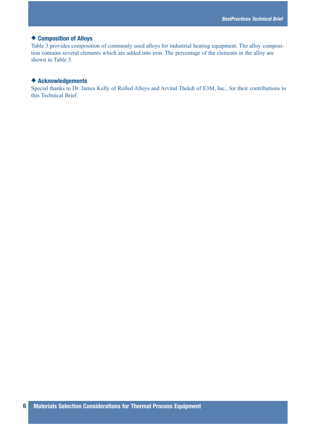## ◆ **Composition of Alloys**

Table 3 provides composition of commonly used alloys for industrial heating equipment. The alloy composition contains several elements which are added into iron. The percentage of the elements in the alloy are shown in Table 3.

# ◆ **Acknowledgements**

Special thanks to Dr. James Kelly of Rolled Alloys and Arvind Thekdi of E3M, Inc., for their contributions to this Technical Brief.